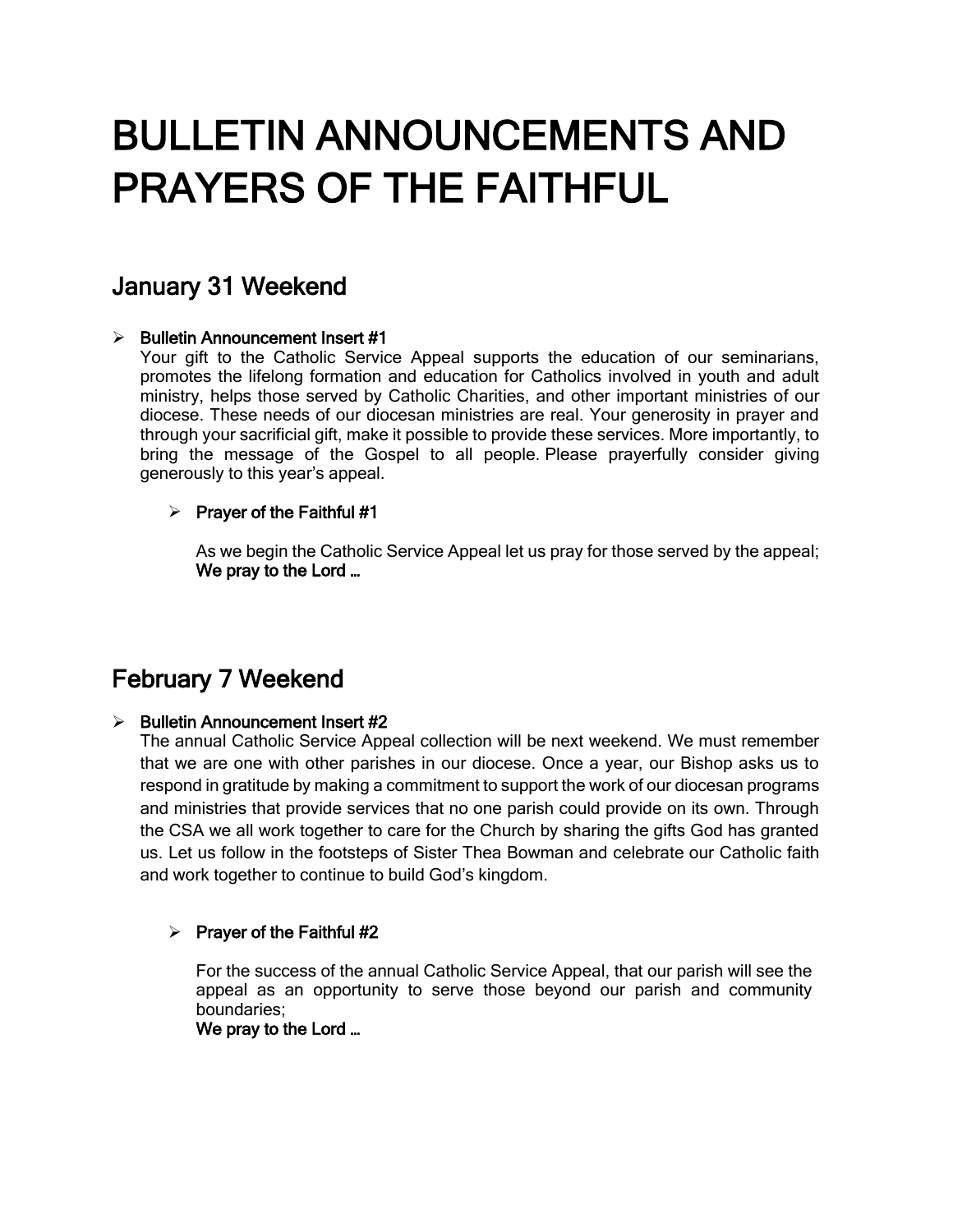# BULLETIN ANNOUNCEMENTS AND PRAYERS OF THE FAITHFUL

# January 31 Weekend

### $\triangleright$  Bulletin Announcement Insert #1

Your gift to the Catholic Service Appeal supports the education of our seminarians, promotes the lifelong formation and education for Catholics involved in youth and adult ministry, helps those served by Catholic Charities, and other important ministries of our diocese. These needs of our diocesan ministries are real. Your generosity in prayer and through your sacrificial gift, make it possible to provide these services. More importantly, to bring the message of the Gospel to all people. Please prayerfully consider giving generously to this year's appeal.

### $\triangleright$  Prayer of the Faithful #1

As we begin the Catholic Service Appeal let us pray for those served by the appeal; We pray to the Lord …

# February 7 Weekend

### $\triangleright$  Bulletin Announcement Insert #2

The annual Catholic Service Appeal collection will be next weekend. We must remember that we are one with other parishes in our diocese. Once a year, our Bishop asks us to respond in gratitude by making a commitment to support the work of our diocesan programs and ministries that provide services that no one parish could provide on its own. Through the CSA we all work together to care for the Church by sharing the gifts God has granted us. Let us follow in the footsteps of Sister Thea Bowman and celebrate our Catholic faith and work together to continue to build God's kingdom.

### $\triangleright$  Prayer of the Faithful #2

For the success of the annual Catholic Service Appeal, that our parish will see the appeal as an opportunity to serve those beyond our parish and community boundaries;

We pray to the Lord …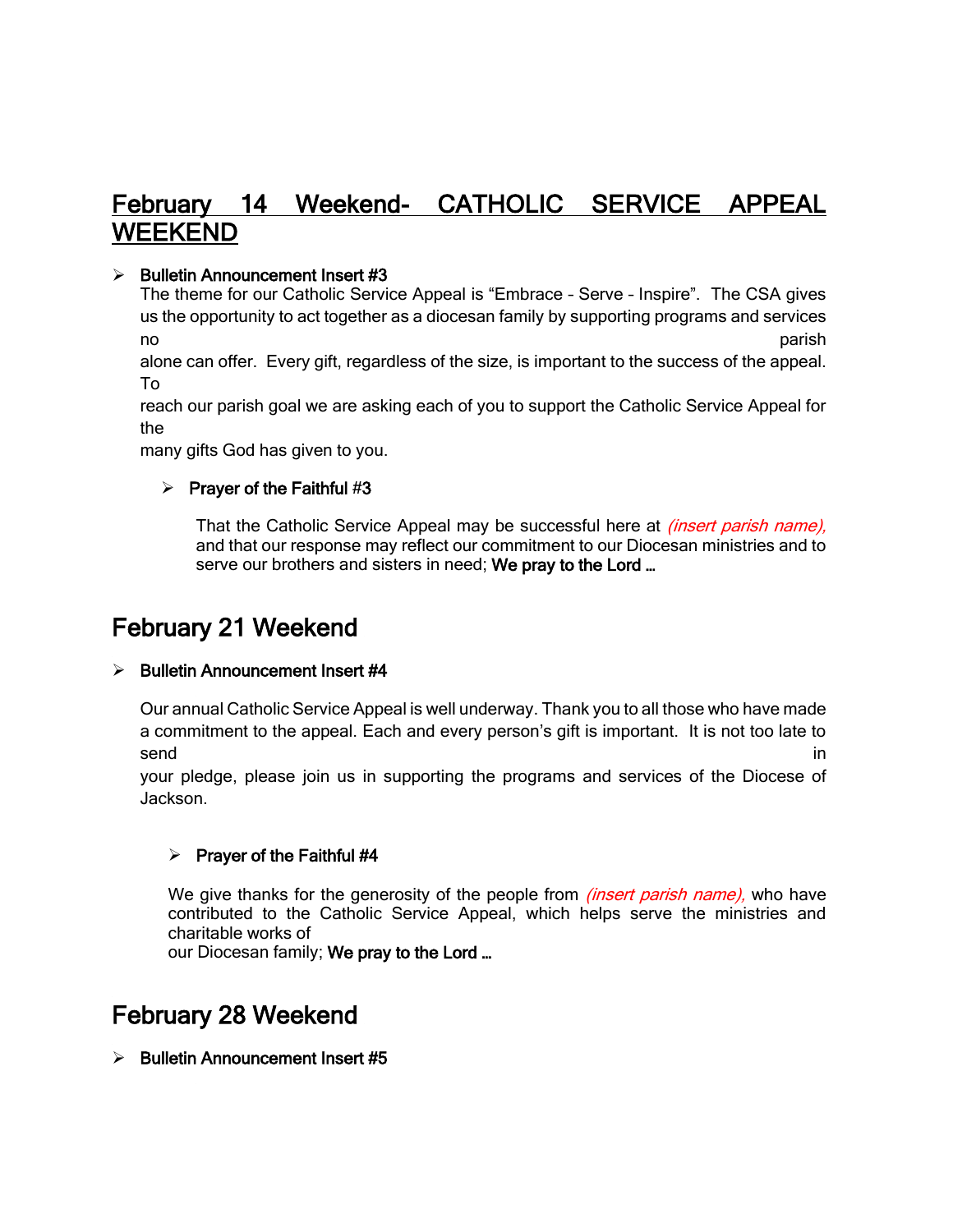### February 14 Weekend- CATHOLIC SERVICE APPEAL WEEKEND

### $\triangleright$  Bulletin Announcement Insert #3

The theme for our Catholic Service Appeal is "Embrace – Serve – Inspire". The CSA gives us the opportunity to act together as a diocesan family by supporting programs and services no parish

alone can offer. Every gift, regardless of the size, is important to the success of the appeal. To

reach our parish goal we are asking each of you to support the Catholic Service Appeal for the

many gifts God has given to you.

### $\triangleright$  Prayer of the Faithful #3

That the Catholic Service Appeal may be successful here at *(insert parish name)*, and that our response may reflect our commitment to our Diocesan ministries and to serve our brothers and sisters in need; We pray to the Lord ...

# February 21 Weekend

### $\triangleright$  Bulletin Announcement Insert #4

Our annual Catholic Service Appeal is well underway. Thank you to all those who have made a commitment to the appeal. Each and every person's gift is important. It is not too late to send in the contract of the contract of the contract of the contract of the contract of the contract of the contract of the contract of the contract of the contract of the contract of the contract of the contract of the co

your pledge, please join us in supporting the programs and services of the Diocese of Jackson.

### $\triangleright$  Prayer of the Faithful #4

We give thanks for the generosity of the people from *(insert parish name)*, who have contributed to the Catholic Service Appeal, which helps serve the ministries and charitable works of

our Diocesan family; We pray to the Lord ...

### February 28 Weekend

 $\triangleright$  Bulletin Announcement Insert #5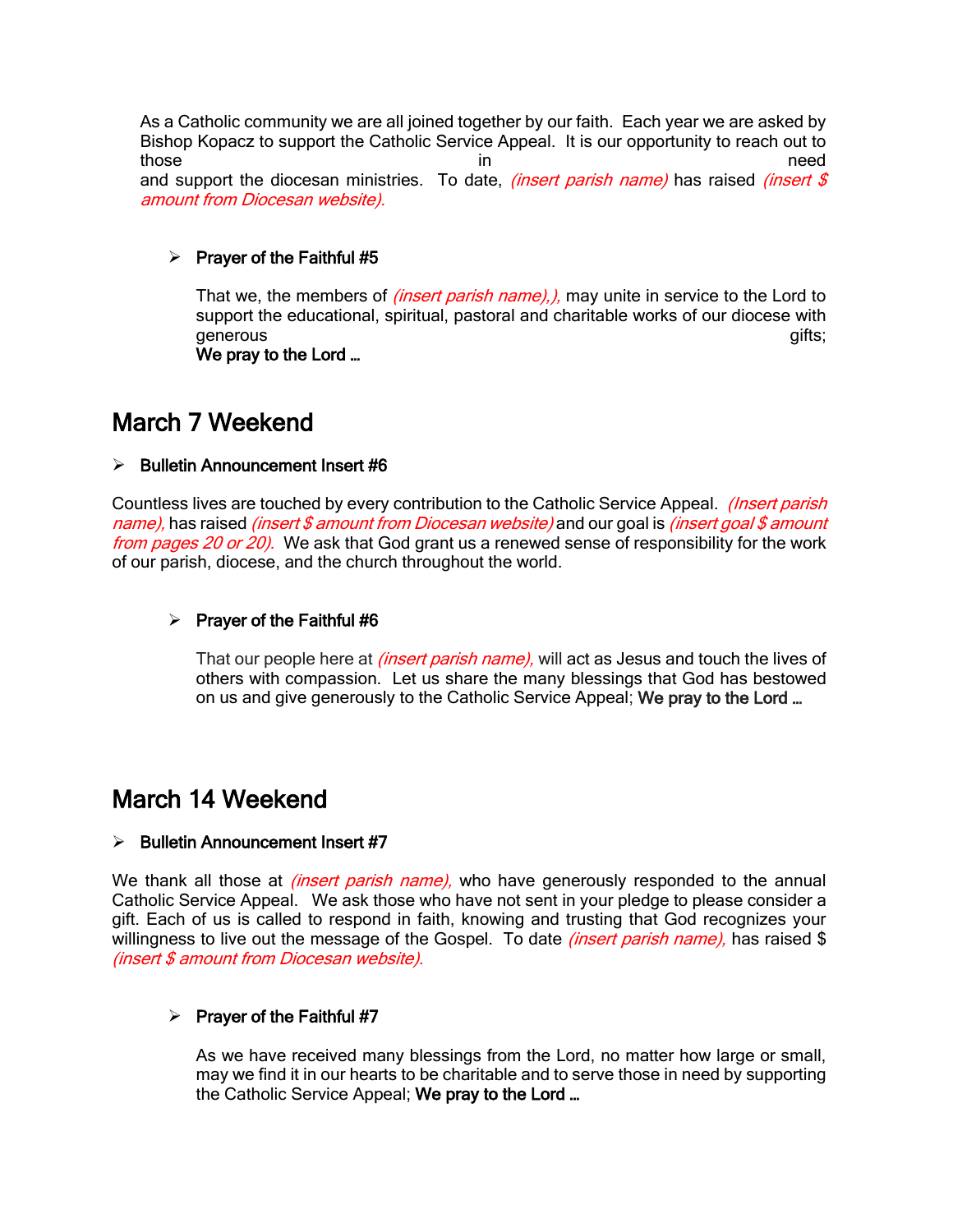As a Catholic community we are all joined together by our faith. Each year we are asked by Bishop Kopacz to support the Catholic Service Appeal. It is our opportunity to reach out to those in the need that is not in the need that the need that is need that  $\mathbf{d}$  is need that  $\mathbf{d}$  is need and support the diocesan ministries. To date, *(insert parish name)* has raised *(insert \$* amount from Diocesan website).

### $\triangleright$  Prayer of the Faithful #5

That we, the members of *(insert parish name),)*, may unite in service to the Lord to support the educational, spiritual, pastoral and charitable works of our diocese with generous gifts;

We pray to the Lord …

### March 7 Weekend

### ➢ Bulletin Announcement Insert #6

Countless lives are touched by every contribution to the Catholic Service Appeal. *(Insert parish*) name), has raised *(insert \$ amount from Diocesan website)* and our goal is *(insert goal \$ amount* from pages 20 or 20). We ask that God grant us a renewed sense of responsibility for the work of our parish, diocese, and the church throughout the world.

### $\triangleright$  Prayer of the Faithful #6

That our people here at *(insert parish name)*, will act as Jesus and touch the lives of others with compassion. Let us share the many blessings that God has bestowed on us and give generously to the Catholic Service Appeal; We pray to the Lord …

### March 14 Weekend

#### $\triangleright$  Bulletin Announcement Insert #7

We thank all those at *(insert parish name)*, who have generously responded to the annual Catholic Service Appeal. We ask those who have not sent in your pledge to please consider a gift. Each of us is called to respond in faith, knowing and trusting that God recognizes your willingness to live out the message of the Gospel. To date *(insert parish name)*, has raised \$ (insert \$ amount from Diocesan website).

#### $\triangleright$  Prayer of the Faithful #7

As we have received many blessings from the Lord, no matter how large or small, may we find it in our hearts to be charitable and to serve those in need by supporting the Catholic Service Appeal; We pray to the Lord ...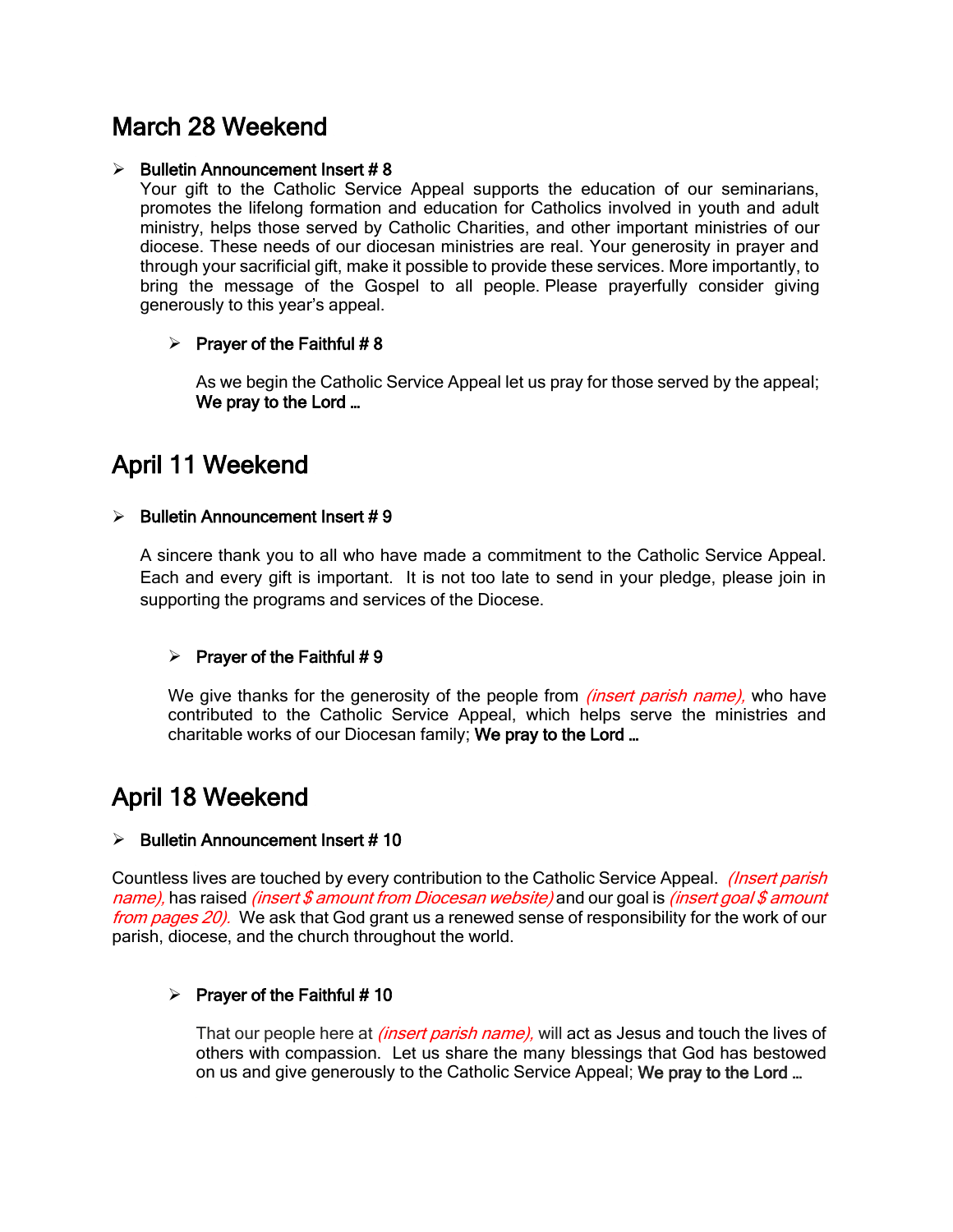## March 28 Weekend

### $\geq$  Bulletin Announcement Insert #8

Your gift to the Catholic Service Appeal supports the education of our seminarians, promotes the lifelong formation and education for Catholics involved in youth and adult ministry, helps those served by Catholic Charities, and other important ministries of our diocese. These needs of our diocesan ministries are real. Your generosity in prayer and through your sacrificial gift, make it possible to provide these services. More importantly, to bring the message of the Gospel to all people. Please prayerfully consider giving generously to this year's appeal.

### $\triangleright$  Prayer of the Faithful #8

As we begin the Catholic Service Appeal let us pray for those served by the appeal; We pray to the Lord …

# April 11 Weekend

### $\triangleright$  Bulletin Announcement Insert # 9

A sincere thank you to all who have made a commitment to the Catholic Service Appeal. Each and every gift is important. It is not too late to send in your pledge, please join in supporting the programs and services of the Diocese.

### $\triangleright$  Prayer of the Faithful #9

We give thanks for the generosity of the people from *(insert parish name)*, who have contributed to the Catholic Service Appeal, which helps serve the ministries and charitable works of our Diocesan family; We pray to the Lord …

# April 18 Weekend

### $\triangleright$  Bulletin Announcement Insert # 10

Countless lives are touched by every contribution to the Catholic Service Appeal. *(Insert parish*) name), has raised *(insert \$ amount from Diocesan website)* and our goal is *(insert goal \$ amount* from pages 20). We ask that God grant us a renewed sense of responsibility for the work of our parish, diocese, and the church throughout the world.

### $\triangleright$  Prayer of the Faithful # 10

That our people here at *(insert parish name)*, will act as Jesus and touch the lives of others with compassion. Let us share the many blessings that God has bestowed on us and give generously to the Catholic Service Appeal; We pray to the Lord …